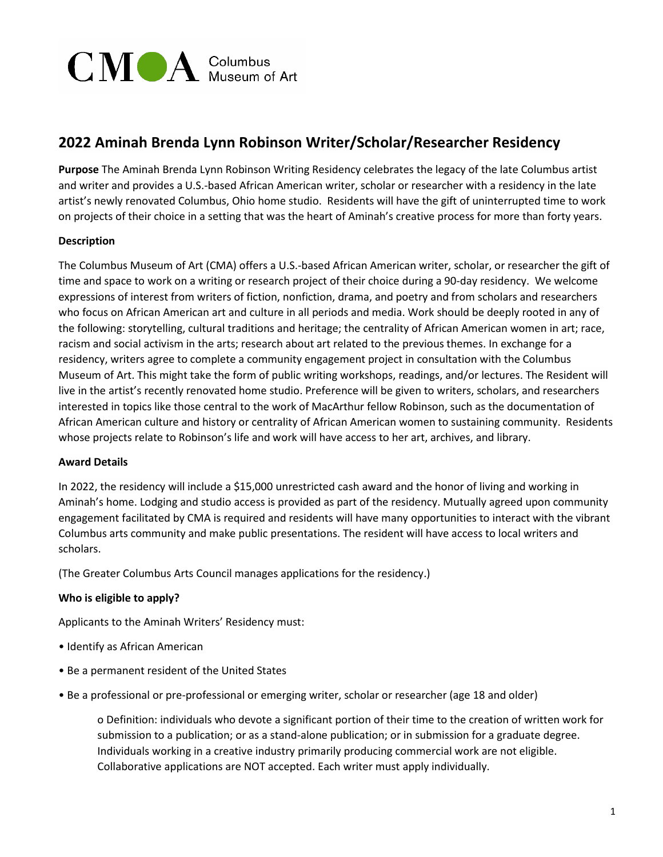

# **2022 Aminah Brenda Lynn Robinson Writer/Scholar/Researcher Residency**

**Purpose** The Aminah Brenda Lynn Robinson Writing Residency celebrates the legacy of the late Columbus artist and writer and provides a U.S.-based African American writer, scholar or researcher with a residency in the late artist's newly renovated Columbus, Ohio home studio. Residents will have the gift of uninterrupted time to work on projects of their choice in a setting that was the heart of Aminah's creative process for more than forty years.

# **Description**

The Columbus Museum of Art (CMA) offers a U.S.-based African American writer, scholar, or researcher the gift of time and space to work on a writing or research project of their choice during a 90-day residency. We welcome expressions of interest from writers of fiction, nonfiction, drama, and poetry and from scholars and researchers who focus on African American art and culture in all periods and media. Work should be deeply rooted in any of the following: storytelling, cultural traditions and heritage; the centrality of African American women in art; race, racism and social activism in the arts; research about art related to the previous themes. In exchange for a residency, writers agree to complete a community engagement project in consultation with the Columbus Museum of Art. This might take the form of public writing workshops, readings, and/or lectures. The Resident will live in the artist's recently renovated home studio. Preference will be given to writers, scholars, and researchers interested in topics like those central to the work of MacArthur fellow Robinson, such as the documentation of African American culture and history or centrality of African American women to sustaining community. Residents whose projects relate to Robinson's life and work will have access to her art, archives, and library.

#### **Award Details**

In 2022, the residency will include a \$15,000 unrestricted cash award and the honor of living and working in Aminah's home. Lodging and studio access is provided as part of the residency. Mutually agreed upon community engagement facilitated by CMA is required and residents will have many opportunities to interact with the vibrant Columbus arts community and make public presentations. The resident will have access to local writers and scholars.

(The Greater Columbus Arts Council manages applications for the residency.)

# **Who is eligible to apply?**

Applicants to the Aminah Writers' Residency must:

- Identify as African American
- Be a permanent resident of the United States
- Be a professional or pre-professional or emerging writer, scholar or researcher (age 18 and older)

o Definition: individuals who devote a significant portion of their time to the creation of written work for submission to a publication; or as a stand-alone publication; or in submission for a graduate degree. Individuals working in a creative industry primarily producing commercial work are not eligible. Collaborative applications are NOT accepted. Each writer must apply individually.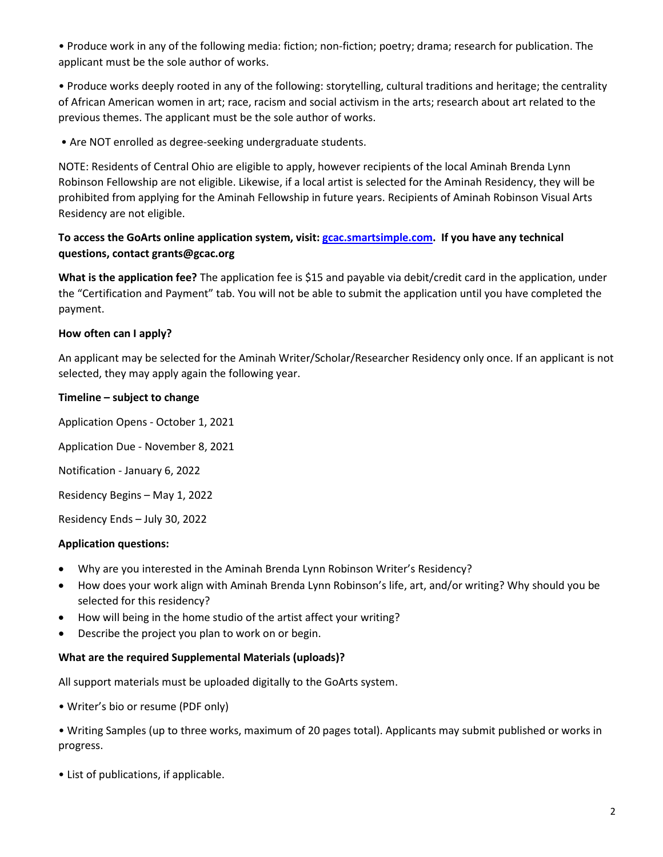• Produce work in any of the following media: fiction; non-fiction; poetry; drama; research for publication. The applicant must be the sole author of works.

• Produce works deeply rooted in any of the following: storytelling, cultural traditions and heritage; the centrality of African American women in art; race, racism and social activism in the arts; research about art related to the previous themes. The applicant must be the sole author of works.

• Are NOT enrolled as degree-seeking undergraduate students.

NOTE: Residents of Central Ohio are eligible to apply, however recipients of the local Aminah Brenda Lynn Robinson Fellowship are not eligible. Likewise, if a local artist is selected for the Aminah Residency, they will be prohibited from applying for the Aminah Fellowship in future years. Recipients of Aminah Robinson Visual Arts Residency are not eligible.

# **To access the GoArts online application system, visit: [gcac.smartsimple.com.](https://gcac.smartsimple.com/s_Login.jsp) If you have any technical questions, contact grants@gcac.org**

**What is the application fee?** The application fee is \$15 and payable via debit/credit card in the application, under the "Certification and Payment" tab. You will not be able to submit the application until you have completed the payment.

# **How often can I apply?**

An applicant may be selected for the Aminah Writer/Scholar/Researcher Residency only once. If an applicant is not selected, they may apply again the following year.

# **Timeline – subject to change**

Application Opens - October 1, 2021

Application Due - November 8, 2021

Notification - January 6, 2022

Residency Begins – May 1, 2022

Residency Ends – July 30, 2022

#### **Application questions:**

- Why are you interested in the Aminah Brenda Lynn Robinson Writer's Residency?
- How does your work align with Aminah Brenda Lynn Robinson's life, art, and/or writing? Why should you be selected for this residency?
- How will being in the home studio of the artist affect your writing?
- Describe the project you plan to work on or begin.

#### **What are the required Supplemental Materials (uploads)?**

All support materials must be uploaded digitally to the GoArts system.

- Writer's bio or resume (PDF only)
- Writing Samples (up to three works, maximum of 20 pages total). Applicants may submit published or works in progress.
- List of publications, if applicable.